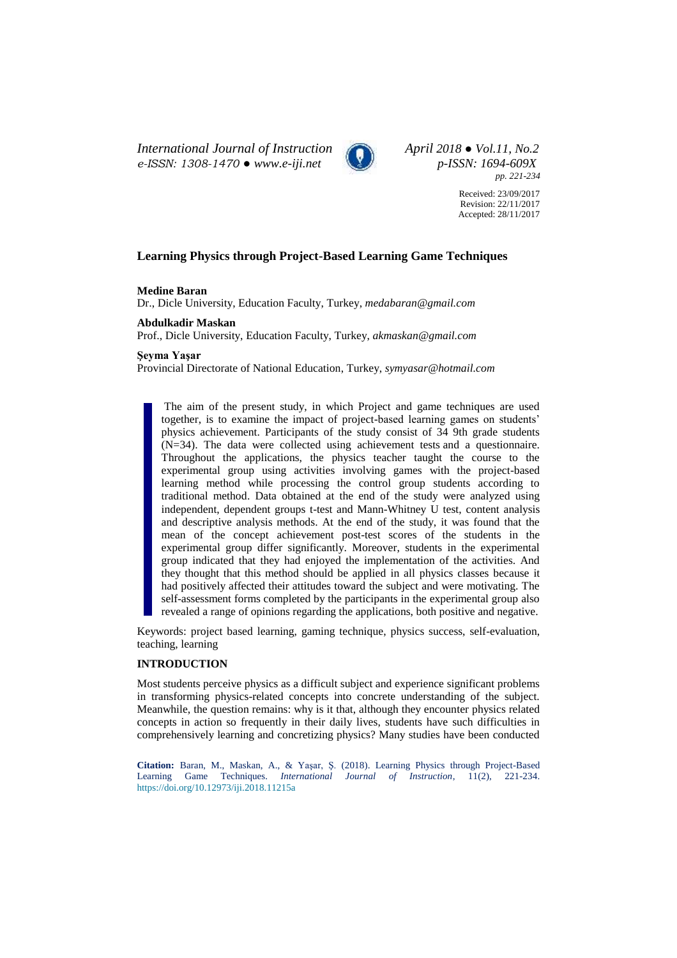*International Journal of Instruction April 2018 ● Vol.11, No.2 e-ISSN: 1308-1470 ● [www.e-iji.net](http://www.e-iji.net/) p-ISSN: 1694-609X*



*pp. 221-234*

Received: 23/09/2017 Revision: 22/11/2017 Accepted: 28/11/2017

# **Learning Physics through Project-Based Learning Game Techniques**

#### **Medine Baran**

Dr., Dicle University, Education Faculty, Turkey, *medabaran@gmail.com*

#### **Abdulkadir Maskan**

Prof., Dicle University, Education Faculty, Turkey, *akmaskan@gmail.com*

# **Şeyma Yaşar**

Provincial Directorate of National Education, Turkey, *symyasar@hotmail.com*

The aim of the present study, in which Project and game techniques are used together, is to examine the impact of project-based learning games on students' physics achievement. Participants of the study consist of 34 9th grade students (N=34). The data were collected using achievement tests and a questionnaire. Throughout the applications, the physics teacher taught the course to the experimental group using activities involving games with the project-based learning method while processing the control group students according to traditional method. Data obtained at the end of the study were analyzed using independent, dependent groups t-test and Mann-Whitney U test, content analysis and descriptive analysis methods. At the end of the study, it was found that the mean of the concept achievement post-test scores of the students in the experimental group differ significantly. Moreover, students in the experimental group indicated that they had enjoyed the implementation of the activities. And they thought that this method should be applied in all physics classes because it had positively affected their attitudes toward the subject and were motivating. The self-assessment forms completed by the participants in the experimental group also revealed a range of opinions regarding the applications, both positive and negative.

Keywords: project based learning, gaming technique, physics success, self-evaluation, teaching, learning

### **INTRODUCTION**

Most students perceive physics as a difficult subject and experience significant problems in transforming physics-related concepts into concrete understanding of the subject. Meanwhile, the question remains: why is it that, although they encounter physics related concepts in action so frequently in their daily lives, students have such difficulties in comprehensively learning and concretizing physics? Many studies have been conducted

**Citation:** Baran, M., Maskan, A., & Yaşar, Ş. (2018). Learning Physics through Project-Based Learning Game Techniques. *International Journal of Instruction*, 11(2), 221-234. <https://doi.org/10.12973/iji.2018.11215a>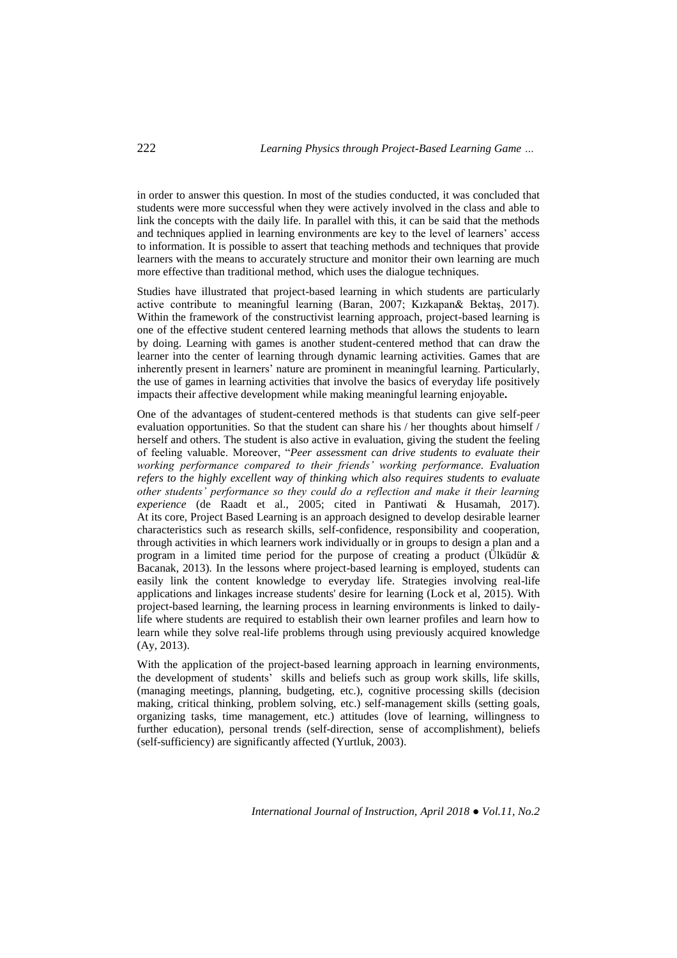in order to answer this question. In most of the studies conducted, it was concluded that students were more successful when they were actively involved in the class and able to link the concepts with the daily life. In parallel with this, it can be said that the methods and techniques applied in learning environments are key to the level of learners' access to information. It is possible to assert that teaching methods and techniques that provide learners with the means to accurately structure and monitor their own learning are much more effective than traditional method, which uses the dialogue techniques.

Studies have illustrated that project-based learning in which students are particularly active contribute to meaningful learning (Baran, 2007; Kızkapan& Bektaş, 2017). Within the framework of the constructivist learning approach, project-based learning is one of the effective student centered learning methods that allows the students to learn by doing. Learning with games is another student-centered method that can draw the learner into the center of learning through dynamic learning activities. Games that are inherently present in learners' nature are prominent in meaningful learning. Particularly, the use of games in learning activities that involve the basics of everyday life positively impacts their affective development while making meaningful learning enjoyable**.** 

One of the advantages of student-centered methods is that students can give self-peer evaluation opportunities. So that the student can share his / her thoughts about himself / herself and others. The student is also active in evaluation, giving the student the feeling of feeling valuable. Moreover, "*Peer assessment can drive students to evaluate their working performance compared to their friends' working performance. Evaluation refers to the highly excellent way of thinking which also requires students to evaluate other students' performance so they could do a reflection and make it their learning experience* (de Raadt et al., 2005; cited in Pantiwati & Husamah, 2017). At its core, Project Based Learning is an approach designed to develop desirable learner characteristics such as research skills, self-confidence, responsibility and cooperation, through activities in which learners work individually or in groups to design a plan and a program in a limited time period for the purpose of creating a product (Ülküdür  $\&$ Bacanak, 2013)*.* In the lessons where project-based learning is employed, students can easily link the content knowledge to everyday life. Strategies involving real-life applications and linkages increase students' desire for learning (Lock et al, 2015). With project-based learning, the learning process in learning environments is linked to dailylife where students are required to establish their own learner profiles and learn how to learn while they solve real-life problems through using previously acquired knowledge (Ay, 2013).

With the application of the project-based learning approach in learning environments, the development of students' skills and beliefs such as group work skills, life skills, (managing meetings, planning, budgeting, etc.), cognitive processing skills (decision making, critical thinking, problem solving, etc.) self-management skills (setting goals, organizing tasks, time management, etc.) attitudes (love of learning, willingness to further education), personal trends (self-direction, sense of accomplishment), beliefs (self-sufficiency) are significantly affected (Yurtluk, 2003).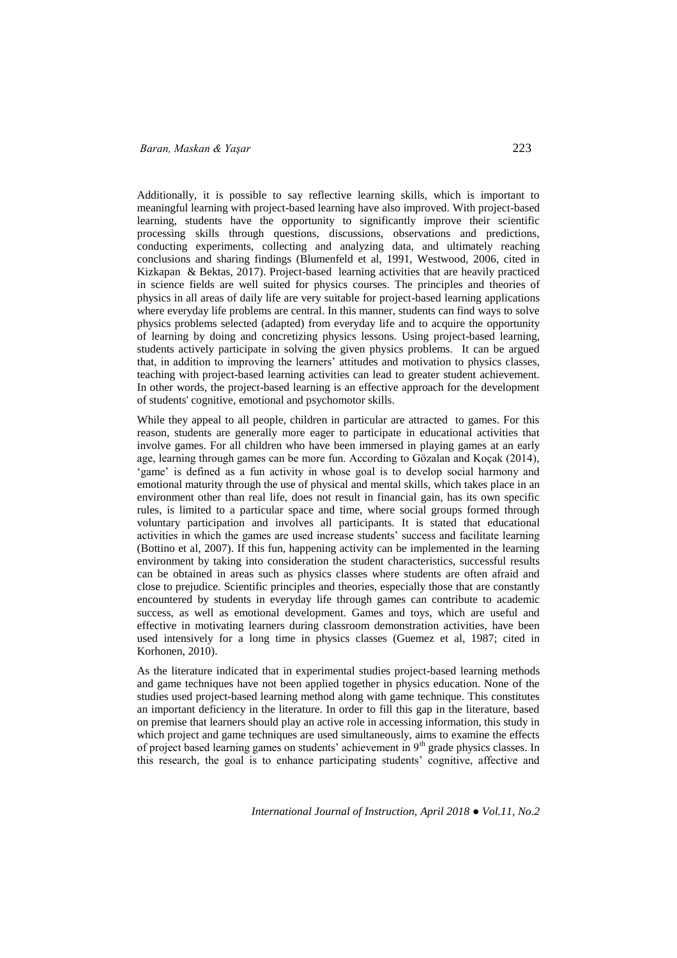# *Baran, Maskan & Yaşar* 223

Additionally, it is possible to say reflective learning skills, which is important to meaningful learning with project-based learning have also improved. With project-based learning, students have the opportunity to significantly improve their scientific processing skills through questions, discussions, observations and predictions, conducting experiments, collecting and analyzing data, and ultimately reaching conclusions and sharing findings (Blumenfeld et al, 1991, Westwood, 2006, cited in Kizkapan & Bektas, 2017). Project-based learning activities that are heavily practiced in science fields are well suited for physics courses. The principles and theories of physics in all areas of daily life are very suitable for project-based learning applications where everyday life problems are central. In this manner, students can find ways to solve physics problems selected (adapted) from everyday life and to acquire the opportunity of learning by doing and concretizing physics lessons. Using project-based learning, students actively participate in solving the given physics problems. It can be argued that, in addition to improving the learners' attitudes and motivation to physics classes, teaching with project-based learning activities can lead to greater student achievement. In other words, the project-based learning is an effective approach for the development of students' cognitive, emotional and psychomotor skills.

While they appeal to all people, children in particular are attracted to games. For this reason, students are generally more eager to participate in educational activities that involve games. For all children who have been immersed in playing games at an early age, learning through games can be more fun. According to Gözalan and Koçak (2014), 'game' is defined as a fun activity in whose goal is to develop social harmony and emotional maturity through the use of physical and mental skills, which takes place in an environment other than real life, does not result in financial gain, has its own specific rules, is limited to a particular space and time, where social groups formed through voluntary participation and involves all participants. It is stated that educational activities in which the games are used increase students' success and facilitate learning (Bottino et al, 2007). If this fun, happening activity can be implemented in the learning environment by taking into consideration the student characteristics, successful results can be obtained in areas such as physics classes where students are often afraid and close to prejudice. Scientific principles and theories, especially those that are constantly encountered by students in everyday life through games can contribute to academic success, as well as emotional development. Games and toys, which are useful and effective in motivating learners during classroom demonstration activities, have been used intensively for a long time in physics classes (Guemez et al, 1987; cited in Korhonen, 2010).

As the literature indicated that in experimental studies project-based learning methods and game techniques have not been applied together in physics education. None of the studies used project-based learning method along with game technique. This constitutes an important deficiency in the literature. In order to fill this gap in the literature, based on premise that learners should play an active role in accessing information, this study in which project and game techniques are used simultaneously, aims to examine the effects of project based learning games on students' achievement in  $9<sup>th</sup>$  grade physics classes. In this research, the goal is to enhance participating students' cognitive, affective and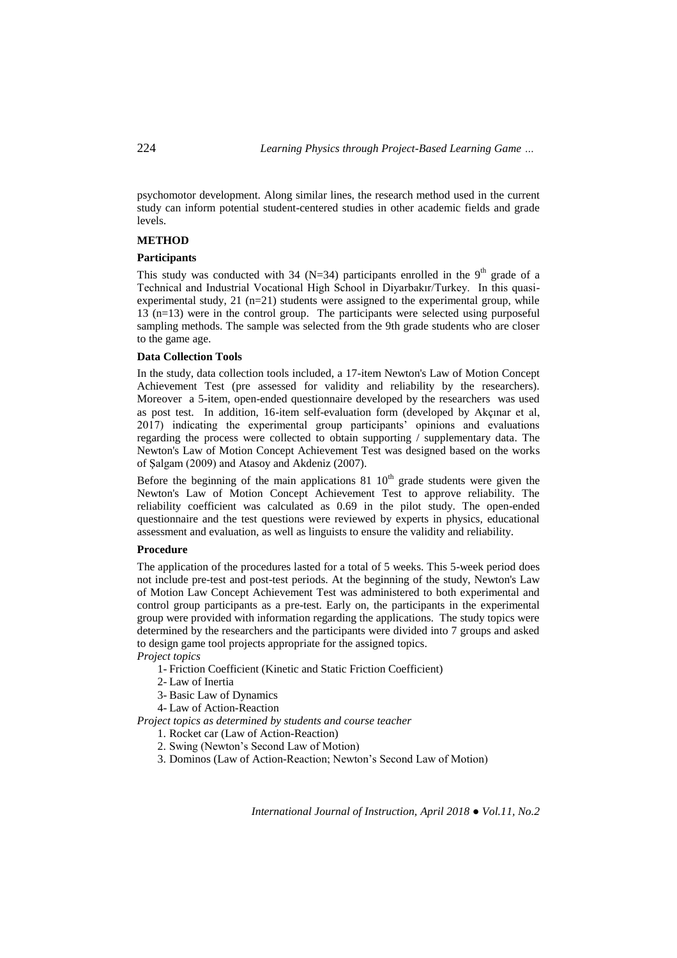psychomotor development. Along similar lines, the research method used in the current study can inform potential student-centered studies in other academic fields and grade levels.

# **METHOD**

# **Participants**

This study was conducted with 34 (N=34) participants enrolled in the 9<sup>th</sup> grade of a Technical and Industrial Vocational High School in Diyarbakır/Turkey. In this quasiexperimental study,  $21$  (n=21) students were assigned to the experimental group, while 13 (n=13) were in the control group. The participants were selected using purposeful sampling methods. The sample was selected from the 9th grade students who are closer to the game age.

# **Data Collection Tools**

In the study, data collection tools included, a 17-item Newton's Law of Motion Concept Achievement Test (pre assessed for validity and reliability by the researchers). Moreover a 5-item, open-ended questionnaire developed by the researchers was used as post test. In addition, 16-item self-evaluation form (developed by Akçınar et al, 2017) indicating the experimental group participants' opinions and evaluations regarding the process were collected to obtain supporting / supplementary data. The Newton's Law of Motion Concept Achievement Test was designed based on the works of Şalgam (2009) and Atasoy and Akdeniz (2007).

Before the beginning of the main applications  $81 \, 10^{th}$  grade students were given the Newton's Law of Motion Concept Achievement Test to approve reliability. The reliability coefficient was calculated as 0.69 in the pilot study. The open-ended questionnaire and the test questions were reviewed by experts in physics, educational assessment and evaluation, as well as linguists to ensure the validity and reliability.

# **Procedure**

The application of the procedures lasted for a total of 5 weeks. This 5-week period does not include pre-test and post-test periods. At the beginning of the study, Newton's Law of Motion Law Concept Achievement Test was administered to both experimental and control group participants as a pre-test. Early on, the participants in the experimental group were provided with information regarding the applications. The study topics were determined by the researchers and the participants were divided into 7 groups and asked to design game tool projects appropriate for the assigned topics. *Project topics*

1- Friction Coefficient (Kinetic and Static Friction Coefficient)

- 2- Law of Inertia
- 3- Basic Law of Dynamics
- 4- Law of Action-Reaction

*Project topics as determined by students and course teacher*

1. Rocket car (Law of Action-Reaction)

- 2. Swing (Newton's Second Law of Motion)
- 3. Dominos (Law of Action-Reaction; Newton's Second Law of Motion)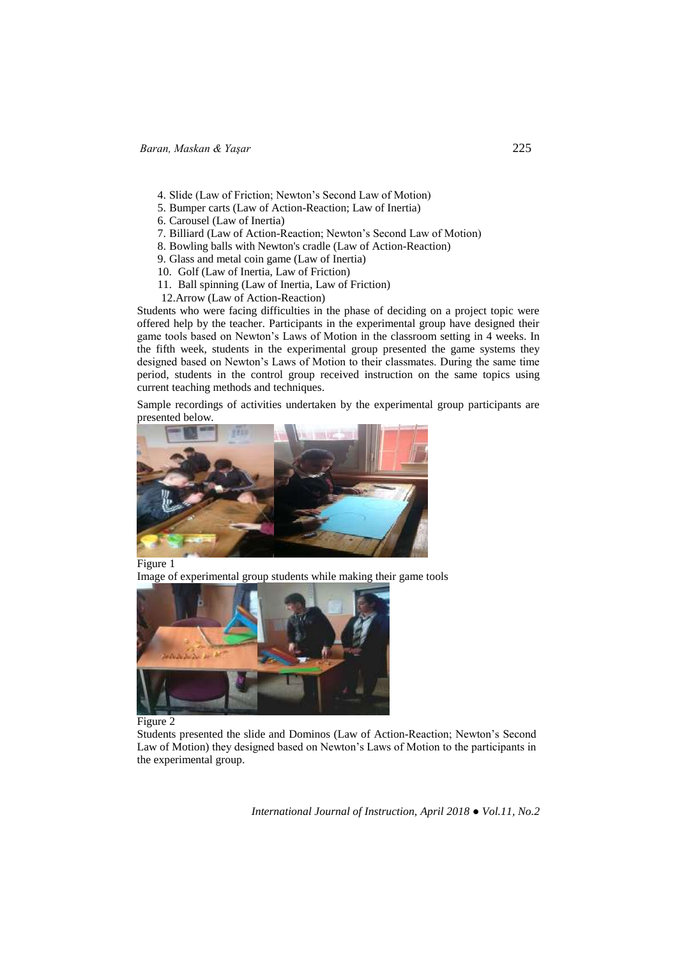- 4. Slide (Law of Friction; Newton's Second Law of Motion)
- 5. Bumper carts (Law of Action-Reaction; Law of Inertia)
- 6. Carousel (Law of Inertia)
- 7. Billiard (Law of Action-Reaction; Newton's Second Law of Motion)
- 8. Bowling balls with Newton's cradle (Law of Action-Reaction)
- 9. Glass and metal coin game (Law of Inertia)
- 10. Golf (Law of Inertia, Law of Friction)
- 11. Ball spinning (Law of Inertia, Law of Friction)
- 12.Arrow (Law of Action-Reaction)

Students who were facing difficulties in the phase of deciding on a project topic were offered help by the teacher. Participants in the experimental group have designed their game tools based on Newton's Laws of Motion in the classroom setting in 4 weeks. In the fifth week, students in the experimental group presented the game systems they designed based on Newton's Laws of Motion to their classmates. During the same time period, students in the control group received instruction on the same topics using current teaching methods and techniques.

Sample recordings of activities undertaken by the experimental group participants are presented below.



Figure 1

Image of experimental group students while making their game tools



Figure 2

Students presented the slide and Dominos (Law of Action-Reaction; Newton's Second Law of Motion) they designed based on Newton's Laws of Motion to the participants in the experimental group.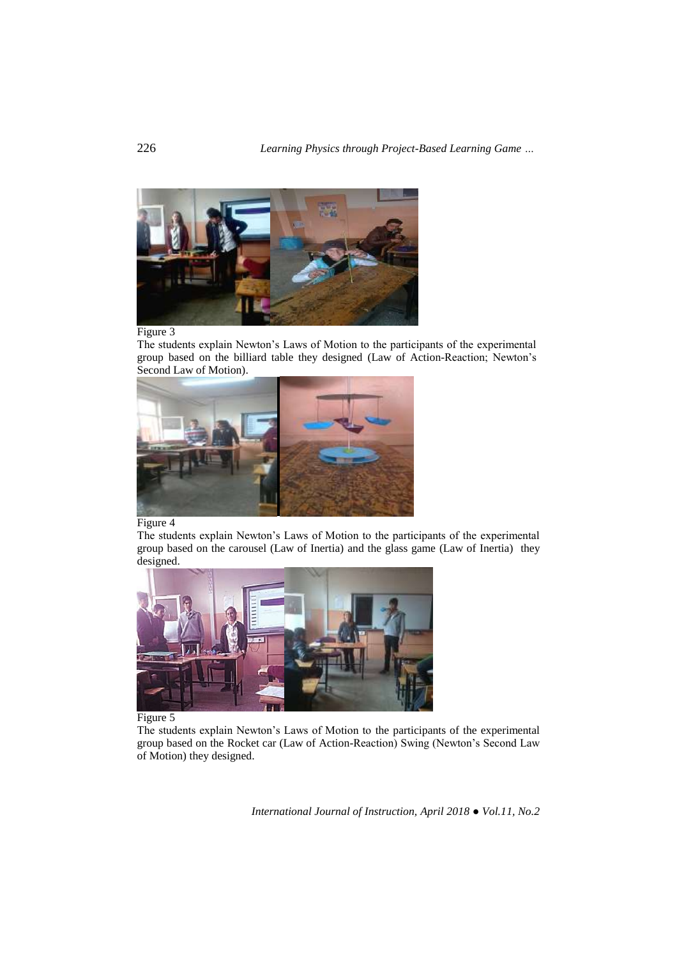

Figure 3

The students explain Newton's Laws of Motion to the participants of the experimental group based on the billiard table they designed (Law of Action-Reaction; Newton's Second Law of Motion).



Figure 4

The students explain Newton's Laws of Motion to the participants of the experimental group based on the carousel (Law of Inertia) and the glass game (Law of Inertia) they designed.



Figure 5

The students explain Newton's Laws of Motion to the participants of the experimental group based on the Rocket car (Law of Action-Reaction) Swing (Newton's Second Law of Motion) they designed.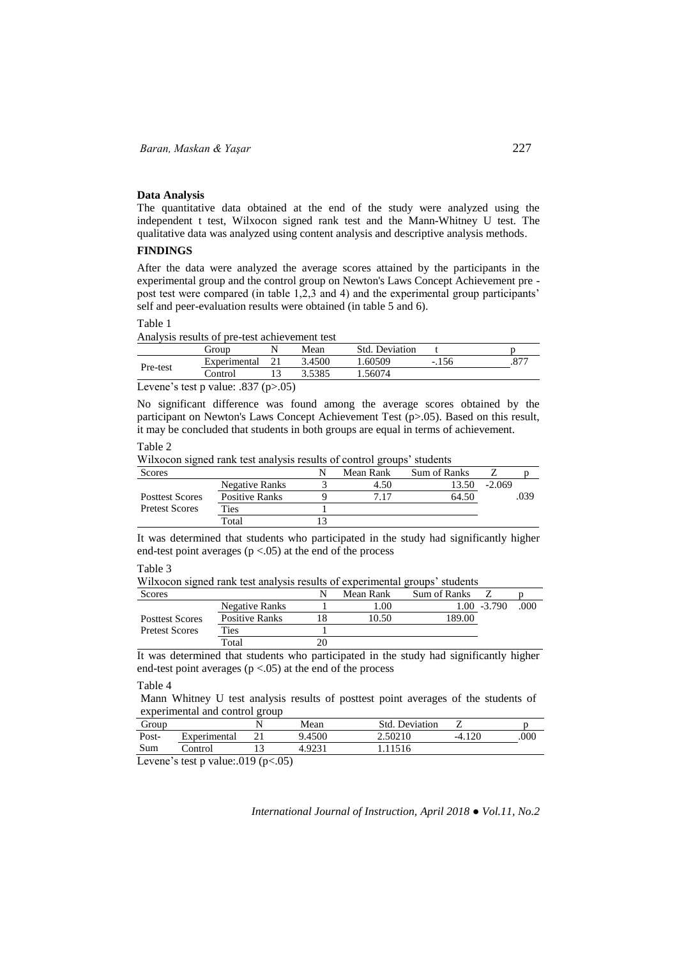# **Data Analysis**

The quantitative data obtained at the end of the study were analyzed using the independent t test, Wilxocon signed rank test and the Mann-Whitney U test. The qualitative data was analyzed using content analysis and descriptive analysis methods.

# **FINDINGS**

After the data were analyzed the average scores attained by the participants in the experimental group and the control group on Newton's Laws Concept Achievement pre post test were compared (in table 1,2,3 and 4) and the experimental group participants' self and peer-evaluation results were obtained (in table 5 and 6).

#### Table 1

Analysis results of pre-test achievement test

|          | Group        | Mean   | Std. Deviation |         |  |
|----------|--------------|--------|----------------|---------|--|
| Pre-test | Experimental | 3.4500 | 1.60509        | $-.156$ |  |
|          | Control      | 3.5385 | 1.56074        |         |  |
|          |              |        |                |         |  |

Levene's test p value:  $.837$  (p $> .05$ )

No significant difference was found among the average scores obtained by the participant on Newton's Laws Concept Achievement Test (p>.05). Based on this result, it may be concluded that students in both groups are equal in terms of achievement.

### Table 2

Wilxocon signed rank test analysis results of control groups' students

| Scores                 |                       | N | Mean Rank | Sum of Ranks |          |      |
|------------------------|-----------------------|---|-----------|--------------|----------|------|
|                        | <b>Negative Ranks</b> |   | 4.50      | 13.50        | $-2.069$ |      |
| <b>Posttest Scores</b> | Positive Ranks        |   | 7.17      | 64.50        |          | .039 |
| <b>Pretest Scores</b>  | Ties                  |   |           |              |          |      |
|                        | Total                 |   |           |              |          |      |

It was determined that students who participated in the study had significantly higher end-test point averages ( $p < .05$ ) at the end of the process

#### Table 3

Wilxocon signed rank test analysis results of experimental groups' students

| Scores                 |                | N | Mean Rank | Sum of Ranks |                |      |
|------------------------|----------------|---|-----------|--------------|----------------|------|
|                        | Negative Ranks |   | 1.00      |              | $1.00 - 3.790$ | .000 |
| <b>Posttest Scores</b> | Positive Ranks |   | 10.50     | 189.00       |                |      |
| <b>Pretest Scores</b>  | Ties           |   |           |              |                |      |
|                        | Total          |   |           |              |                |      |

It was determined that students who participated in the study had significantly higher end-test point averages ( $p < .05$ ) at the end of the process

#### Table 4

Mann Whitney U test analysis results of posttest point averages of the students of experimental and control group

| droup |              |     | Mean   | Std.<br>Deviation |           |      |
|-------|--------------|-----|--------|-------------------|-----------|------|
| Post- | Experimental | ∠⊥  | 9.4500 | 2.50210           | 12C<br>-- | .000 |
| Sum   | `ontrol      | . . | 4.9231 | .11516            |           |      |

Levene's test p value:.019 (p<.05)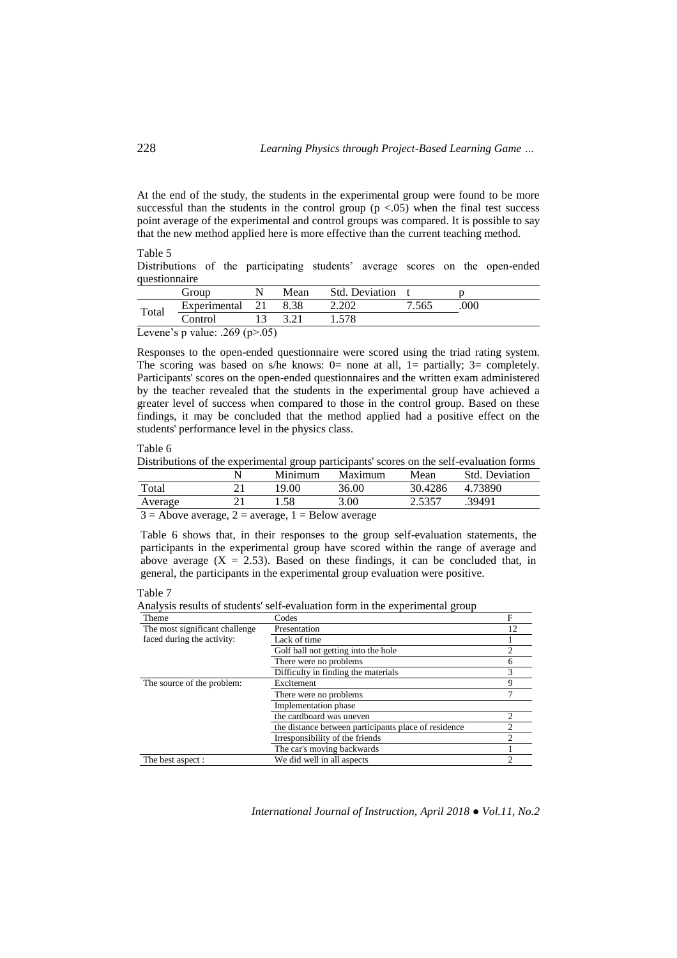At the end of the study, the students in the experimental group were found to be more successful than the students in the control group  $(p < .05)$  when the final test success point average of the experimental and control groups was compared. It is possible to say that the new method applied here is more effective than the current teaching method.

#### Table 5

Distributions of the participating students' average scores on the open-ended questionnaire

|              | Group        |                     | Mean | Std. Deviation |       |     |  |
|--------------|--------------|---------------------|------|----------------|-------|-----|--|
|              | Experimental | 21                  | 8.38 | 2.202          | 7 565 | 000 |  |
| Total        | Control      |                     |      | .578           |       |     |  |
| $\mathbf{r}$ |              | $A \cap (A \cap B)$ |      |                |       |     |  |

Levene's p value:  $.269$  (p $> 0.05$ )

Responses to the open-ended questionnaire were scored using the triad rating system. The scoring was based on s/he knows: 0= none at all, 1= partially; 3= completely. Participants' scores on the open-ended questionnaires and the written exam administered by the teacher revealed that the students in the experimental group have achieved a greater level of success when compared to those in the control group. Based on these findings, it may be concluded that the method applied had a positive effect on the students' performance level in the physics class.

### Table 6

Distributions of the experimental group participants' scores on the self-evaluation forms

|                                                         |  | Minimum | Maximum | Mean    | <b>Std.</b> Deviation |  |
|---------------------------------------------------------|--|---------|---------|---------|-----------------------|--|
| Total                                                   |  | 19.00   | 36.00   | 30.4286 | 4.73890               |  |
| Average                                                 |  | 1.58    | 3.00    | 2.5357  | .39491                |  |
| $3 =$ Above average, $2 =$ average, $1 =$ Below average |  |         |         |         |                       |  |

Table 6 shows that, in their responses to the group self-evaluation statements, the participants in the experimental group have scored within the range of average and above average  $(X = 2.53)$ . Based on these findings, it can be concluded that, in general, the participants in the experimental group evaluation were positive.

#### Table 7

Analysis results of students' self-evaluation form in the experimental group

| Theme                           | Codes                                                | F              |
|---------------------------------|------------------------------------------------------|----------------|
| The most significant challenge. | Presentation                                         | 12             |
| faced during the activity:      | Lack of time                                         |                |
|                                 | Golf ball not getting into the hole                  |                |
|                                 | There were no problems                               | 6              |
|                                 | Difficulty in finding the materials                  | 3              |
| The source of the problem:      | Excitement                                           | 9              |
|                                 | There were no problems                               |                |
|                                 | Implementation phase                                 |                |
|                                 | the cardboard was uneven                             |                |
|                                 | the distance between participants place of residence | C              |
|                                 | Irresponsibility of the friends                      | $\mathfrak{D}$ |
|                                 | The car's moving backwards                           |                |
| The best aspect:                | We did well in all aspects                           | C              |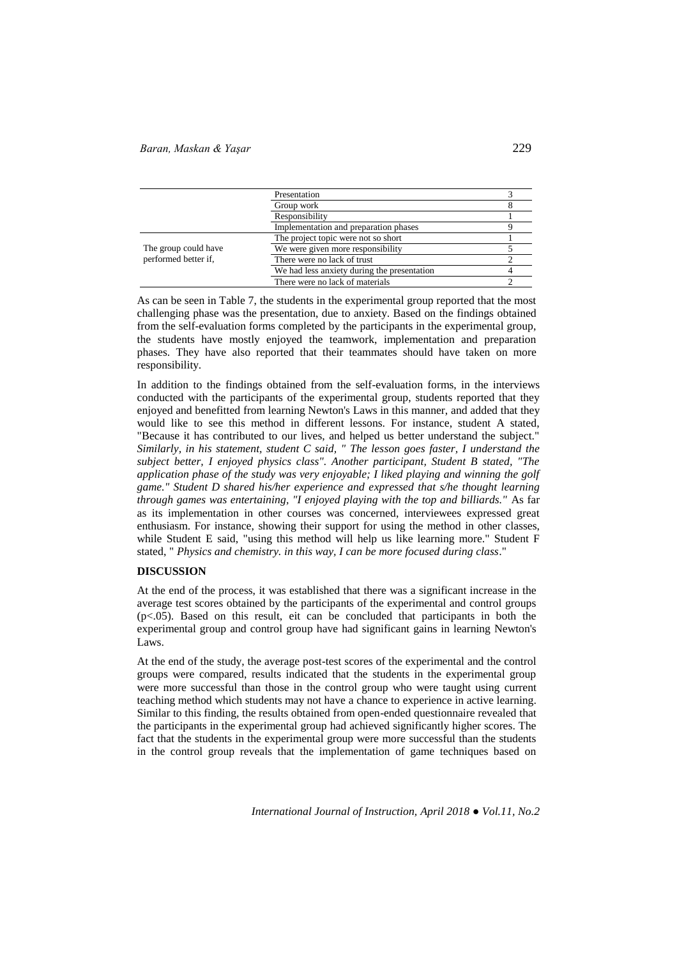# *Baran, Maskan & Yaşar* 229

|                                              | Presentation                                |  |
|----------------------------------------------|---------------------------------------------|--|
|                                              | Group work                                  |  |
|                                              | Responsibility                              |  |
|                                              | Implementation and preparation phases       |  |
|                                              | The project topic were not so short         |  |
| The group could have<br>performed better if, | We were given more responsibility           |  |
|                                              | There were no lack of trust                 |  |
|                                              | We had less anxiety during the presentation |  |
|                                              | There were no lack of materials             |  |

As can be seen in Table 7, the students in the experimental group reported that the most challenging phase was the presentation, due to anxiety. Based on the findings obtained from the self-evaluation forms completed by the participants in the experimental group, the students have mostly enjoyed the teamwork, implementation and preparation phases. They have also reported that their teammates should have taken on more responsibility.

In addition to the findings obtained from the self-evaluation forms, in the interviews conducted with the participants of the experimental group, students reported that they enjoyed and benefitted from learning Newton's Laws in this manner, and added that they would like to see this method in different lessons. For instance, student A stated, "Because it has contributed to our lives, and helped us better understand the subject." *Similarly, in his statement, student C said, " The lesson goes faster, I understand the subject better, I enjoyed physics class". Another participant, Student B stated, "The application phase of the study was very enjoyable; I liked playing and winning the golf game." Student D shared his/her experience and expressed that s/he thought learning through games was entertaining, "I enjoyed playing with the top and billiards."* As far as its implementation in other courses was concerned, interviewees expressed great enthusiasm. For instance, showing their support for using the method in other classes, while Student E said, "using this method will help us like learning more." Student F stated, " *Physics and chemistry. in this way, I can be more focused during class*."

### **DISCUSSION**

At the end of the process, it was established that there was a significant increase in the average test scores obtained by the participants of the experimental and control groups (p<.05). Based on this result, eit can be concluded that participants in both the experimental group and control group have had significant gains in learning Newton's Laws.

At the end of the study, the average post-test scores of the experimental and the control groups were compared, results indicated that the students in the experimental group were more successful than those in the control group who were taught using current teaching method which students may not have a chance to experience in active learning. Similar to this finding, the results obtained from open-ended questionnaire revealed that the participants in the experimental group had achieved significantly higher scores. The fact that the students in the experimental group were more successful than the students in the control group reveals that the implementation of game techniques based on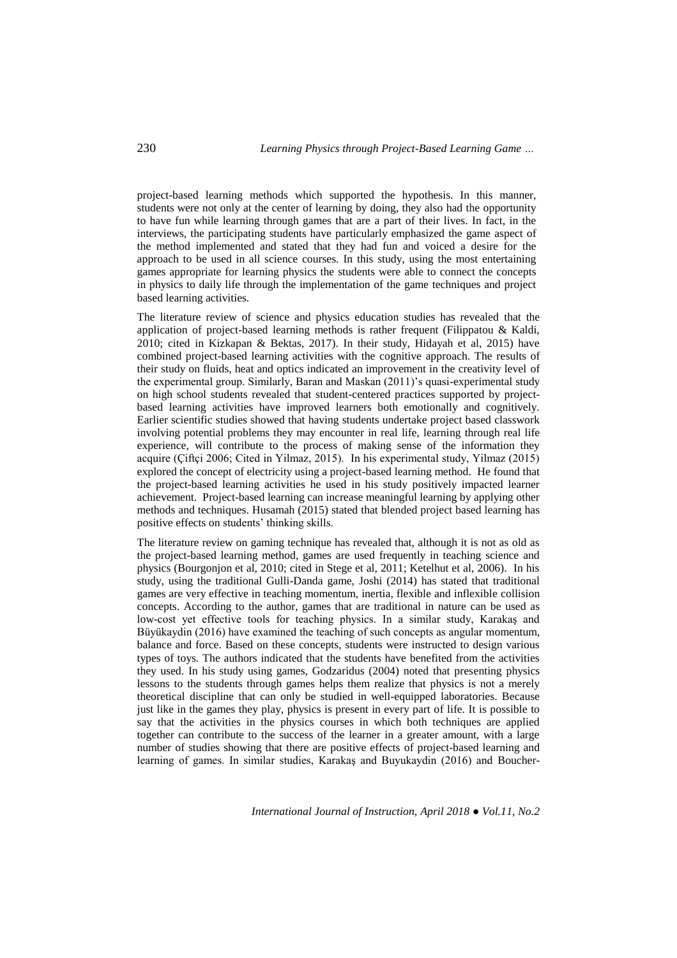project-based learning methods which supported the hypothesis. In this manner, students were not only at the center of learning by doing, they also had the opportunity to have fun while learning through games that are a part of their lives. In fact, in the interviews, the participating students have particularly emphasized the game aspect of the method implemented and stated that they had fun and voiced a desire for the approach to be used in all science courses. In this study, using the most entertaining games appropriate for learning physics the students were able to connect the concepts in physics to daily life through the implementation of the game techniques and project based learning activities.

The literature review of science and physics education studies has revealed that the application of project-based learning methods is rather frequent (Filippatou & Kaldi, 2010; cited in Kizkapan & Bektas, 2017). In their study, Hidayah et al, 2015) have combined project-based learning activities with the cognitive approach. The results of their study on fluids, heat and optics indicated an improvement in the creativity level of the experimental group. Similarly, Baran and Maskan (2011)'s quasi-experimental study on high school students revealed that student-centered practices supported by projectbased learning activities have improved learners both emotionally and cognitively. Earlier scientific studies showed that having students undertake project based classwork involving potential problems they may encounter in real life, learning through real life experience, will contribute to the process of making sense of the information they acquire (Çiftçi 2006; Cited in Yilmaz, 2015). In his experimental study, Yilmaz (2015) explored the concept of electricity using a project-based learning method. He found that the project-based learning activities he used in his study positively impacted learner achievement. Project-based learning can increase meaningful learning by applying other methods and techniques. Husamah (2015) stated that blended project based learning has positive effects on students' thinking skills.

The literature review on gaming technique has revealed that, although it is not as old as the project-based learning method, games are used frequently in teaching science and physics (Bourgonjon et al, 2010; cited in Stege et al, 2011; Ketelhut et al, 2006). In his study, using the traditional Gulli-Danda game, Joshi (2014) has stated that traditional games are very effective in teaching momentum, inertia, flexible and inflexible collision concepts. According to the author, games that are traditional in nature can be used as low-cost yet effective tools for teaching physics. In a similar study, Karakaş and Büyükaydin (2016) have examined the teaching of such concepts as angular momentum, balance and force. Based on these concepts, students were instructed to design various types of toys. The authors indicated that the students have benefited from the activities they used. In his study using games, Godzaridus (2004) noted that presenting physics lessons to the students through games helps them realize that physics is not a merely theoretical discipline that can only be studied in well-equipped laboratories. Because just like in the games they play, physics is present in every part of life. It is possible to say that the activities in the physics courses in which both techniques are applied together can contribute to the success of the learner in a greater amount, with a large number of studies showing that there are positive effects of project-based learning and learning of games. In similar studies, Karakaş and Buyukaydin (2016) and Boucher-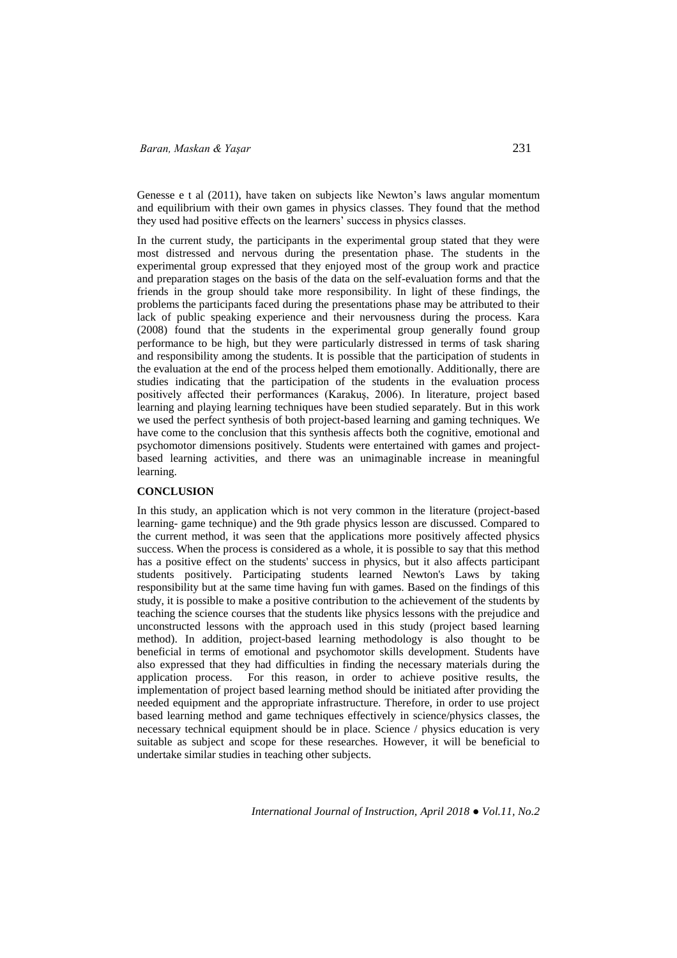Genesse e t al (2011), have taken on subjects like Newton's laws angular momentum and equilibrium with their own games in physics classes. They found that the method they used had positive effects on the learners' success in physics classes.

In the current study, the participants in the experimental group stated that they were most distressed and nervous during the presentation phase. The students in the experimental group expressed that they enjoyed most of the group work and practice and preparation stages on the basis of the data on the self-evaluation forms and that the friends in the group should take more responsibility. In light of these findings, the problems the participants faced during the presentations phase may be attributed to their lack of public speaking experience and their nervousness during the process. Kara (2008) found that the students in the experimental group generally found group performance to be high, but they were particularly distressed in terms of task sharing and responsibility among the students. It is possible that the participation of students in the evaluation at the end of the process helped them emotionally. Additionally, there are studies indicating that the participation of the students in the evaluation process positively affected their performances (Karakuş, 2006). In literature, project based learning and playing learning techniques have been studied separately. But in this work we used the perfect synthesis of both project-based learning and gaming techniques. We have come to the conclusion that this synthesis affects both the cognitive, emotional and psychomotor dimensions positively. Students were entertained with games and projectbased learning activities, and there was an unimaginable increase in meaningful learning.

## **CONCLUSION**

In this study, an application which is not very common in the literature (project-based learning- game technique) and the 9th grade physics lesson are discussed. Compared to the current method, it was seen that the applications more positively affected physics success. When the process is considered as a whole, it is possible to say that this method has a positive effect on the students' success in physics, but it also affects participant students positively. Participating students learned Newton's Laws by taking responsibility but at the same time having fun with games. Based on the findings of this study, it is possible to make a positive contribution to the achievement of the students by teaching the science courses that the students like physics lessons with the prejudice and unconstructed lessons with the approach used in this study (project based learning method). In addition, project-based learning methodology is also thought to be beneficial in terms of emotional and psychomotor skills development. Students have also expressed that they had difficulties in finding the necessary materials during the application process. For this reason, in order to achieve positive results, the implementation of project based learning method should be initiated after providing the needed equipment and the appropriate infrastructure. Therefore, in order to use project based learning method and game techniques effectively in science/physics classes, the necessary technical equipment should be in place. Science / physics education is very suitable as subject and scope for these researches. However, it will be beneficial to undertake similar studies in teaching other subjects.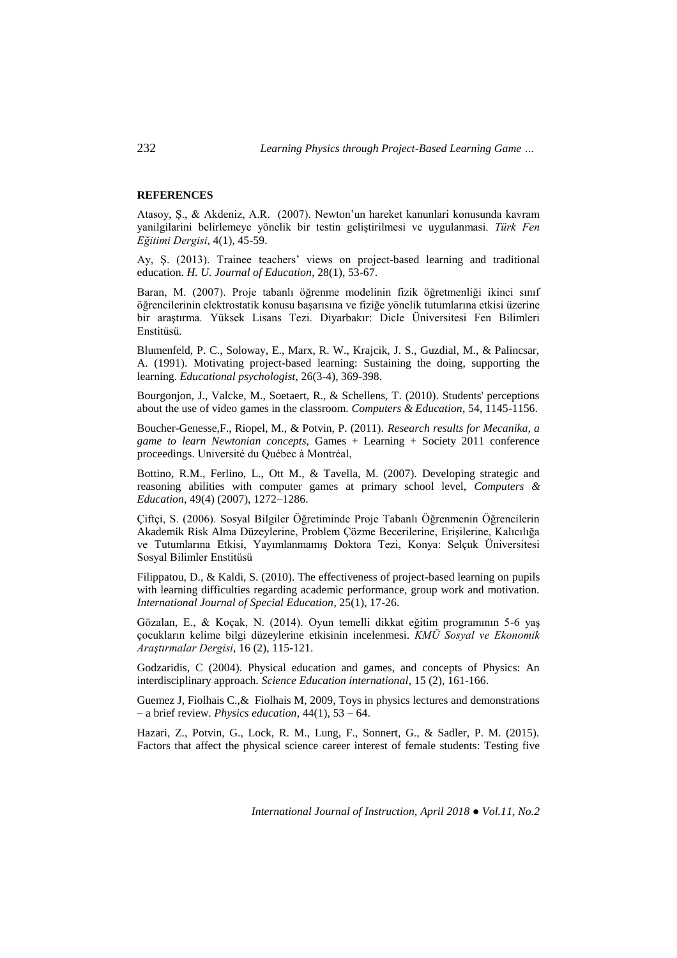# **REFERENCES**

Atasoy, Ş., & Akdeniz, A.R. (2007). Newton'un hareket kanunlari konusunda kavram yanilgilarini belirlemeye yönelik bir testin geliştirilmesi ve uygulanmasi. *Türk Fen Eğitimi Dergisi*, 4(1), 45-59.

Ay, Ş. (2013). Trainee teachers' views on project-based learning and traditional education. *H. U. Journal of Education*, 28(1), 53-67.

Baran, M. (2007). Proje tabanlı öğrenme modelinin fizik öğretmenliği ikinci sınıf öğrencilerinin elektrostatik konusu başarısına ve fiziğe yönelik tutumlarına etkisi üzerine bir araştırma. Yüksek Lisans Tezi. Diyarbakır: Dicle Üniversitesi Fen Bilimleri Enstitüsü.

Blumenfeld, P. C., Soloway, E., Marx, R. W., Krajcik, J. S., Guzdial, M., & Palincsar, A. (1991). Motivating project-based learning: Sustaining the doing, supporting the learning. *Educational psychologist*, 26(3-4), 369-398.

Bourgonjon, J., Valcke, M., Soetaert, R., & Schellens, T. (2010). Students' perceptions about the use of video games in the classroom. *Computers & Education*, 54, 1145-1156.

Boucher-Genesse,F., Riopel, M., & Potvin, P. (2011). *Research results for Mecanika, a game to learn Newtonian concepts,* Games + Learning + Society 2011 conference proceedings. Université du Québec à Montréal,

Bottino, R.M., Ferlino, L., Ott M., & Tavella, M. (2007). Developing strategic and reasoning abilities with computer games at primary school level, *Computers & Education*, 49(4) (2007), 1272–1286.

Çiftçi, S. (2006). Sosyal Bilgiler Öğretiminde Proje Tabanlı Öğrenmenin Öğrencilerin Akademik Risk Alma Düzeylerine, Problem Çözme Becerilerine, Erişilerine, Kalıcılığa ve Tutumlarına Etkisi, Yayımlanmamış Doktora Tezi, Konya: Selçuk Üniversitesi Sosyal Bilimler Enstitüsü

Filippatou, D., & Kaldi, S. (2010). The effectiveness of project-based learning on pupils with learning difficulties regarding academic performance, group work and motivation. *International Journal of Special Education*, 25(1), 17-26.

Gözalan, E., & Koçak, N. (2014). Oyun temelli dikkat eğitim programının 5-6 yaş çocukların kelime bilgi düzeylerine etkisinin incelenmesi. *KMÜ Sosyal ve Ekonomik Araştırmalar Dergisi*, 16 (2), 115-121.

Godzaridis, C (2004). Physical education and games, and concepts of Physics: An interdisciplinary approach. *Science Education international*, 15 (2), 161-166.

Guemez J, Fiolhais C.,& Fiolhais M, 2009, Toys in physics lectures and demonstrations – a brief review. *Physics education*, 44(1), 53 – 64.

Hazari, Z., Potvin, G., Lock, R. M., Lung, F., Sonnert, G., & Sadler, P. M. (2015). Factors that affect the physical science career interest of female students: Testing five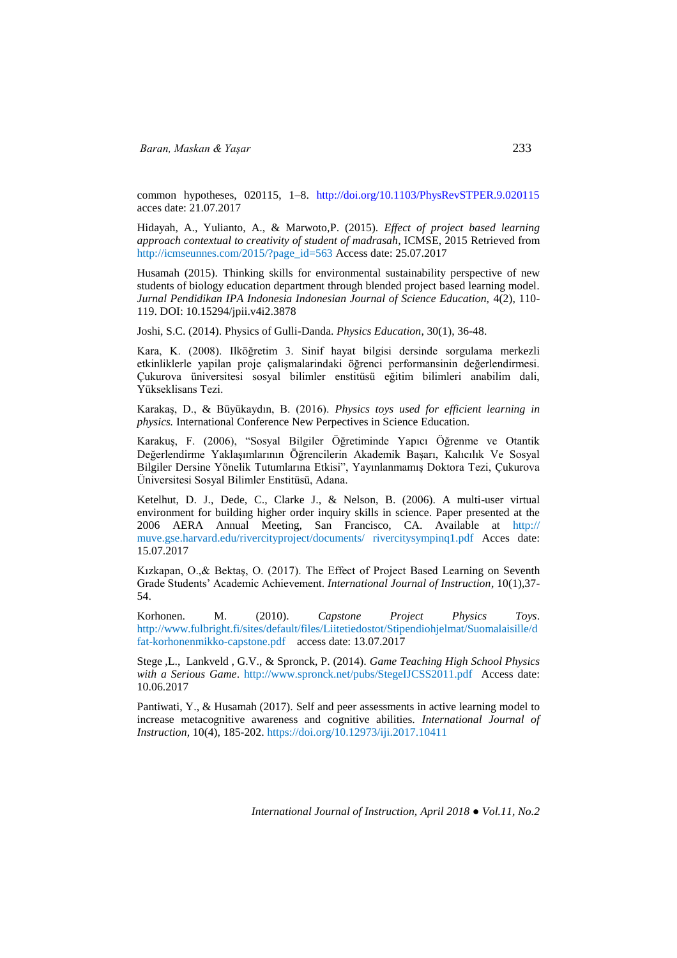common hypotheses, 020115, 1–8. <http://doi.org/10.1103/PhysRevSTPER.9.020115> acces date: 21.07.2017

Hidayah, A., Yulianto, A., & Marwoto,P. (2015). *Effect of project based [learning](http://icmseunnes.com/2015/wp-content/uploads/2016/03/73_PE.pdf) approach [contextual](http://icmseunnes.com/2015/wp-content/uploads/2016/03/73_PE.pdf) to creativity of student of madrasah*, ICMSE, 2015 Retrieved from [http://icmseunnes.com/2015/?page\\_id=563](http://icmseunnes.com/2015/?page_id=563) Access date: 25.07.2017

Husamah (2015). Thinking skills for environmental sustainability perspective of new students of biology education department through blended project based learning model*. Jurnal Pendidikan IPA Indonesia Indonesian Journal of Science Education,* 4(2), 110- 119. DOI: 10.15294/jpii.v4i2.3878

Joshi, S.C. (2014). Physics of Gulli-Danda. *Physics Education*, 30(1), 36-48.

Kara, K. (2008). Ilköğretim 3. Sinif hayat bilgisi dersinde sorgulama merkezli etkinliklerle yapilan proje çalişmalarindaki öğrenci performansinin değerlendirmesi. Çukurova üniversitesi sosyal bilimler enstitüsü eğitim bilimleri anabilim dali, Yükseklisans Tezi.

Karakaş, D., & Büyükaydın, B. (2016). *Physics toys used for efficient learning in physics.* International Conference New Perpectives in Science Education.

Karakuş, F. (2006), "Sosyal Bilgiler Öğretiminde Yapıcı Öğrenme ve Otantik Değerlendirme Yaklaşımlarının Öğrencilerin Akademik Başarı, Kalıcılık Ve Sosyal Bilgiler Dersine Yönelik Tutumlarına Etkisi", Yayınlanmamış Doktora Tezi, Çukurova Üniversitesi Sosyal Bilimler Enstitüsü, Adana.

Ketelhut, D. J., Dede, C., Clarke J., & Nelson, B. (2006). A multi-user virtual environment for building higher order inquiry skills in science. Paper presented at the 2006 AERA Annual Meeting, San Francisco, CA. Available at http:// muve.gse.harvard.edu/rivercityproject/documents/ rivercitysympinq1.pdf Acces date: 15.07.2017

Kızkapan, O.,& Bektaş, O. (2017). The Effect of Project Based Learning on Seventh Grade Students' Academic Achievement. *International Journal of Instruction*, 10(1),37- 54.

Korhonen. M. (2010). *Capstone Project Physics Toys*. [http://www.fulbright.fi/sites/default/files/Liitetiedostot/Stipendiohjelmat/Suomalaisille/d](http://www.fulbright.fi/sites/default/files/Liitetiedostot/Stipendiohjelmat/Suomalaisille/dfat-korhonenmikko-capstone.pdf) [fat-korhonenmikko-capstone.pdf](http://www.fulbright.fi/sites/default/files/Liitetiedostot/Stipendiohjelmat/Suomalaisille/dfat-korhonenmikko-capstone.pdf) access date: 13.07.2017

Stege ,L., Lankveld , G.V., & Spronck, P. (2014). *Game Teaching High School Physics with a Serious Game*.<http://www.spronck.net/pubs/StegeIJCSS2011.pdf>Access date: 10.06.2017

Pantiwati, Y., & Husamah (2017). Self and peer assessments in active learning model to increase metacognitive awareness and cognitive abilities. *International Journal of Instruction,* 10(4), 185-202.<https://doi.org/10.12973/iji.2017.10411>